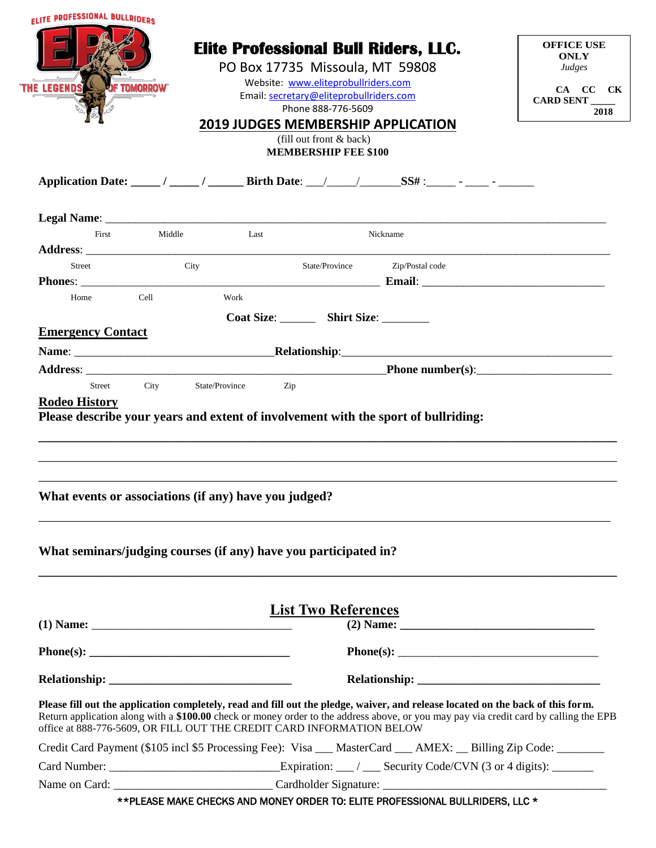| <b>ELITE PROFESSIONAL BULLRIDEDS</b>                                                                                                                                                                                                                                                                                                              |              |                                                               |                                           |                                             |  |                                            |
|---------------------------------------------------------------------------------------------------------------------------------------------------------------------------------------------------------------------------------------------------------------------------------------------------------------------------------------------------|--------------|---------------------------------------------------------------|-------------------------------------------|---------------------------------------------|--|--------------------------------------------|
|                                                                                                                                                                                                                                                                                                                                                   |              |                                                               | PO Box 17735 Missoula, MT 59808           | <b>Elite Professional Bull Riders, LLC.</b> |  | <b>OFFICE USE</b><br><b>ONLY</b><br>Judges |
| <b>THE LEGENDS</b>                                                                                                                                                                                                                                                                                                                                | f Tomorrow   |                                                               | Website: www.eliteprobullriders.com       |                                             |  | CA CC CK                                   |
|                                                                                                                                                                                                                                                                                                                                                   |              | Email: secretary@eliteprobullriders.com<br>Phone 888-776-5609 |                                           |                                             |  | CARD SENT<br>2018                          |
|                                                                                                                                                                                                                                                                                                                                                   |              |                                                               |                                           | <b>2019 JUDGES MEMBERSHIP APPLICATION</b>   |  |                                            |
|                                                                                                                                                                                                                                                                                                                                                   |              |                                                               | (fill out front $&$ back)                 |                                             |  |                                            |
|                                                                                                                                                                                                                                                                                                                                                   |              |                                                               | <b>MEMBERSHIP FEE \$100</b>               |                                             |  |                                            |
| Application Date: _____/ _____/ _______ Birth Date: ___/ ______/ ________ SS# :______- _____- ______                                                                                                                                                                                                                                              |              |                                                               |                                           |                                             |  |                                            |
|                                                                                                                                                                                                                                                                                                                                                   |              |                                                               |                                           |                                             |  |                                            |
|                                                                                                                                                                                                                                                                                                                                                   | First Middle | <b>Example 12</b>                                             |                                           | Nickname                                    |  |                                            |
|                                                                                                                                                                                                                                                                                                                                                   |              |                                                               |                                           |                                             |  |                                            |
| <b>Street</b>                                                                                                                                                                                                                                                                                                                                     | City         |                                                               | State/Province                            | Zip/Postal code                             |  |                                            |
| <b>Phones:</b> Email:                                                                                                                                                                                                                                                                                                                             | Cell         | Work                                                          |                                           |                                             |  |                                            |
| Home                                                                                                                                                                                                                                                                                                                                              |              |                                                               |                                           |                                             |  |                                            |
|                                                                                                                                                                                                                                                                                                                                                   |              |                                                               | Coat Size: _________ Shirt Size: ________ |                                             |  |                                            |
| <b>Emergency Contact</b>                                                                                                                                                                                                                                                                                                                          |              |                                                               |                                           |                                             |  |                                            |
|                                                                                                                                                                                                                                                                                                                                                   |              |                                                               |                                           |                                             |  |                                            |
|                                                                                                                                                                                                                                                                                                                                                   |              |                                                               |                                           |                                             |  |                                            |
| Street City<br><b>Rodeo History</b><br>Please describe your years and extent of involvement with the sport of bullriding:                                                                                                                                                                                                                         |              | State/Province                                                | Zip                                       | Address: Phone number(s):                   |  |                                            |
| What events or associations (if any) have you judged?                                                                                                                                                                                                                                                                                             |              |                                                               |                                           |                                             |  |                                            |
| What seminars/judging courses (if any) have you participated in?                                                                                                                                                                                                                                                                                  |              |                                                               | <b>List Two References</b>                |                                             |  |                                            |
|                                                                                                                                                                                                                                                                                                                                                   |              |                                                               |                                           |                                             |  |                                            |
|                                                                                                                                                                                                                                                                                                                                                   |              |                                                               |                                           |                                             |  |                                            |
|                                                                                                                                                                                                                                                                                                                                                   |              |                                                               |                                           |                                             |  |                                            |
| Please fill out the application completely, read and fill out the pledge, waiver, and release located on the back of this form.<br>Return application along with a \$100.00 check or money order to the address above, or you may pay via credit card by calling the EPB<br>office at 888-776-5609, OR FILL OUT THE CREDIT CARD INFORMATION BELOW |              |                                                               |                                           |                                             |  |                                            |
| Credit Card Payment (\$105 incl \$5 Processing Fee): Visa __ MasterCard __ AMEX: _ Billing Zip Code: _______                                                                                                                                                                                                                                      |              |                                                               |                                           |                                             |  |                                            |
|                                                                                                                                                                                                                                                                                                                                                   |              |                                                               |                                           |                                             |  |                                            |